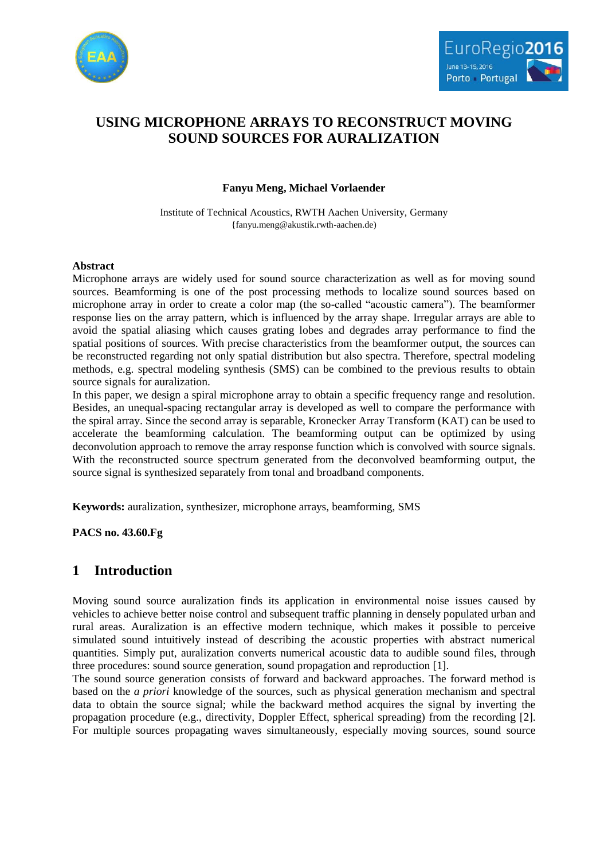



# **USING MICROPHONE ARRAYS TO RECONSTRUCT MOVING SOUND SOURCES FOR AURALIZATION**

### **Fanyu Meng, Michael Vorlaender**

Institute of Technical Acoustics, RWTH Aachen University, Germany {fanyu.meng@akustik.rwth-aachen.de)

#### **Abstract**

Microphone arrays are widely used for sound source characterization as well as for moving sound sources. Beamforming is one of the post processing methods to localize sound sources based on microphone array in order to create a color map (the so-called "acoustic camera"). The beamformer response lies on the array pattern, which is influenced by the array shape. Irregular arrays are able to avoid the spatial aliasing which causes grating lobes and degrades array performance to find the spatial positions of sources. With precise characteristics from the beamformer output, the sources can be reconstructed regarding not only spatial distribution but also spectra. Therefore, spectral modeling methods, e.g. spectral modeling synthesis (SMS) can be combined to the previous results to obtain source signals for auralization.

In this paper, we design a spiral microphone array to obtain a specific frequency range and resolution. Besides, an unequal-spacing rectangular array is developed as well to compare the performance with the spiral array. Since the second array is separable, Kronecker Array Transform (KAT) can be used to accelerate the beamforming calculation. The beamforming output can be optimized by using deconvolution approach to remove the array response function which is convolved with source signals. With the reconstructed source spectrum generated from the deconvolved beamforming output, the source signal is synthesized separately from tonal and broadband components.

**Keywords:** auralization, synthesizer, microphone arrays, beamforming, SMS

**PACS no. 43.60.Fg**

## **1 Introduction**

Moving sound source auralization finds its application in environmental noise issues caused by vehicles to achieve better noise control and subsequent traffic planning in densely populated urban and rural areas. Auralization is an effective modern technique, which makes it possible to perceive simulated sound intuitively instead of describing the acoustic properties with abstract numerical quantities. Simply put, auralization converts numerical acoustic data to audible sound files, through three procedures: sound source generation, sound propagation and reproduction [\[1\].](#page-7-0)

The sound source generation consists of forward and backward approaches. The forward method is based on the *a priori* knowledge of the sources, such as physical generation mechanism and spectral data to obtain the source signal; while the backward method acquires the signal by inverting the propagation procedure (e.g., directivity, Doppler Effect, spherical spreading) from the recording [\[2\].](#page-7-1) For multiple sources propagating waves simultaneously, especially moving sources, sound source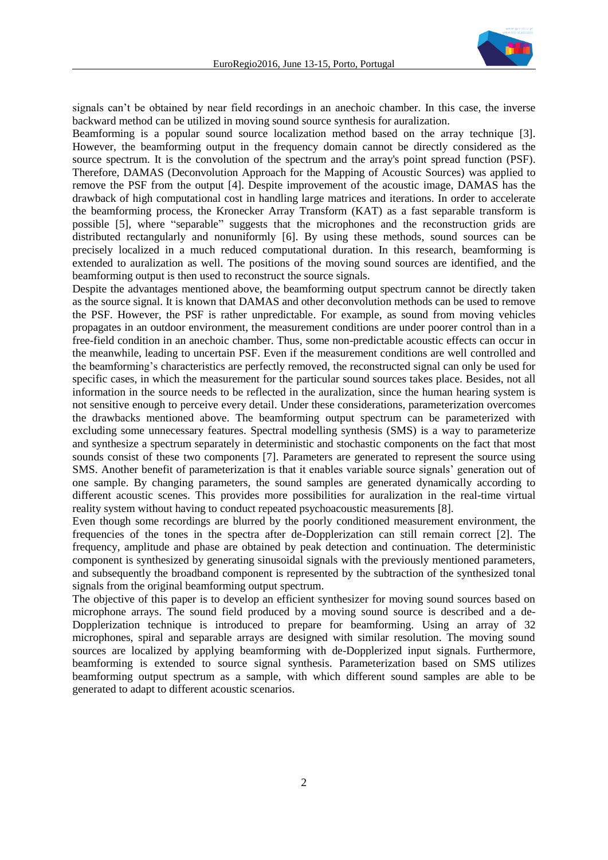

signals can't be obtained by near field recordings in an anechoic chamber. In this case, the inverse backward method can be utilized in moving sound source synthesis for auralization.

Beamforming is a popular sound source localization method based on the array technique [\[3\].](#page-7-2) However, the beamforming output in the frequency domain cannot be directly considered as the source spectrum. It is the convolution of the spectrum and the array's point spread function (PSF). Therefore, DAMAS (Deconvolution Approach for the Mapping of Acoustic Sources) was applied to remove the PSF from the output [\[4\].](#page-7-3) Despite improvement of the acoustic image, DAMAS has the drawback of high computational cost in handling large matrices and iterations. In order to accelerate the beamforming process, the Kronecker Array Transform (KAT) as a fast separable transform is possible [\[5\],](#page-7-4) where "separable" suggests that the microphones and the reconstruction grids are distributed rectangularly and nonuniformly [\[6\].](#page-7-5) By using these methods, sound sources can be precisely localized in a much reduced computational duration. In this research, beamforming is extended to auralization as well. The positions of the moving sound sources are identified, and the beamforming output is then used to reconstruct the source signals.

Despite the advantages mentioned above, the beamforming output spectrum cannot be directly taken as the source signal. It is known that DAMAS and other deconvolution methods can be used to remove the PSF. However, the PSF is rather unpredictable. For example, as sound from moving vehicles propagates in an outdoor environment, the measurement conditions are under poorer control than in a free-field condition in an anechoic chamber. Thus, some non-predictable acoustic effects can occur in the meanwhile, leading to uncertain PSF. Even if the measurement conditions are well controlled and the beamforming's characteristics are perfectly removed, the reconstructed signal can only be used for specific cases, in which the measurement for the particular sound sources takes place. Besides, not all information in the source needs to be reflected in the auralization, since the human hearing system is not sensitive enough to perceive every detail. Under these considerations, parameterization overcomes the drawbacks mentioned above. The beamforming output spectrum can be parameterized with excluding some unnecessary features. Spectral modelling synthesis (SMS) is a way to parameterize and synthesize a spectrum separately in deterministic and stochastic components on the fact that most sounds consist of these two components [\[7\].](#page-7-6) Parameters are generated to represent the source using SMS. Another benefit of parameterization is that it enables variable source signals' generation out of one sample. By changing parameters, the sound samples are generated dynamically according to different acoustic scenes. This provides more possibilities for auralization in the real-time virtual reality system without having to conduct repeated psychoacoustic measurements [\[8\].](#page-7-7)

Even though some recordings are blurred by the poorly conditioned measurement environment, the frequencies of the tones in the spectra after de-Dopplerization can still remain correct [\[2\].](#page-7-1) The frequency, amplitude and phase are obtained by peak detection and continuation. The deterministic component is synthesized by generating sinusoidal signals with the previously mentioned parameters, and subsequently the broadband component is represented by the subtraction of the synthesized tonal signals from the original beamforming output spectrum.

The objective of this paper is to develop an efficient synthesizer for moving sound sources based on microphone arrays. The sound field produced by a moving sound source is described and a de-Dopplerization technique is introduced to prepare for beamforming. Using an array of 32 microphones, spiral and separable arrays are designed with similar resolution. The moving sound sources are localized by applying beamforming with de-Dopplerized input signals. Furthermore, beamforming is extended to source signal synthesis. Parameterization based on SMS utilizes beamforming output spectrum as a sample, with which different sound samples are able to be generated to adapt to different acoustic scenarios.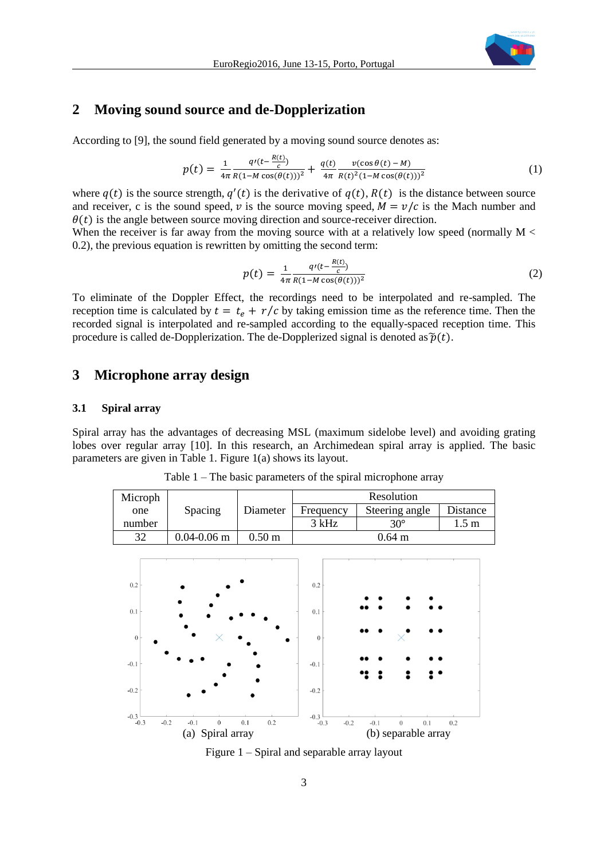

### **2 Moving sound source and de-Dopplerization**

According to [\[9\],](#page-7-8) the sound field generated by a moving sound source denotes as:

$$
p(t) = \frac{1}{4\pi} \frac{q'(t - \frac{R(t)}{c})}{R(1 - M\cos(\theta(t)))^2} + \frac{q(t)}{4\pi} \frac{\nu(\cos\theta(t) - M)}{R(t)^2 (1 - M\cos(\theta(t)))^2}
$$
(1)

where  $q(t)$  is the source strength,  $q'(t)$  is the derivative of  $q(t)$ ,  $R(t)$  is the distance between source and receiver, c is the sound speed,  $\nu$  is the source moving speed,  $M = \nu/c$  is the Mach number and  $\theta(t)$  is the angle between source moving direction and source-receiver direction.

When the receiver is far away from the moving source with at a relatively low speed (normally  $M <$ 0.2), the previous equation is rewritten by omitting the second term:

$$
p(t) = \frac{1}{4\pi} \frac{q'(t - \frac{R(t)}{c})}{R(1 - M\cos(\theta(t)))^2}
$$
 (2)

To eliminate of the Doppler Effect, the recordings need to be interpolated and re-sampled. The reception time is calculated by  $t = t_e + r/c$  by taking emission time as the reference time. Then the recorded signal is interpolated and re-sampled according to the equally-spaced reception time. This procedure is called de-Dopplerization. The de-Dopplerized signal is denoted as  $\tilde{p}(t)$ .

## **3 Microphone array design**

#### **3.1 Spiral array**

<span id="page-2-0"></span>Spiral array has the advantages of decreasing MSL (maximum sidelobe level) and avoiding grating lobes over regular array [\[10\].](#page-7-9) In this research, an Archimedean spiral array is applied. The basic parameters are given i[n Table 1.](#page-2-0) [Figure 1\(](#page-2-1)a) shows its layout.

Table 1 – The basic parameters of the spiral microphone array

| Microph                | Resolution         |                   |                            |                                   |                  |  |  |  |  |
|------------------------|--------------------|-------------------|----------------------------|-----------------------------------|------------------|--|--|--|--|
| one                    | Spacing            | Diameter          | Frequency                  | Steering angle                    | Distance         |  |  |  |  |
| number                 |                    |                   | 3 kHz                      | $30^\circ$                        | 1.5 <sub>m</sub> |  |  |  |  |
| 32                     | $0.04 - 0.06$ m    | 0.50 <sub>m</sub> | $0.64$ m                   |                                   |                  |  |  |  |  |
|                        |                    |                   |                            |                                   |                  |  |  |  |  |
|                        |                    |                   |                            |                                   |                  |  |  |  |  |
| 0.2                    |                    |                   | 0.2                        |                                   |                  |  |  |  |  |
|                        |                    |                   |                            |                                   |                  |  |  |  |  |
| $0.1\,$                |                    |                   | 0.1                        |                                   |                  |  |  |  |  |
|                        |                    |                   |                            |                                   |                  |  |  |  |  |
| $\boldsymbol{0}$       |                    |                   | $\theta$                   |                                   |                  |  |  |  |  |
|                        |                    |                   |                            |                                   |                  |  |  |  |  |
| $-0.1$                 |                    |                   | $-0.1$                     |                                   |                  |  |  |  |  |
|                        |                    |                   |                            |                                   |                  |  |  |  |  |
| $-0.2$                 |                    |                   | $-0.2$                     |                                   |                  |  |  |  |  |
|                        |                    |                   |                            |                                   |                  |  |  |  |  |
| $-0.3 - 0.3$<br>$-0.2$ | $-0.1$<br>$\theta$ | 0.2<br>0.1        | $-0.3$<br>$-0.2$<br>$-0.3$ | 0.1<br>$-0.1$<br>$\boldsymbol{0}$ | 0.2              |  |  |  |  |
|                        | (a) Spiral array   |                   | (b) separable array        |                                   |                  |  |  |  |  |

<span id="page-2-1"></span>Figure 1 – Spiral and separable array layout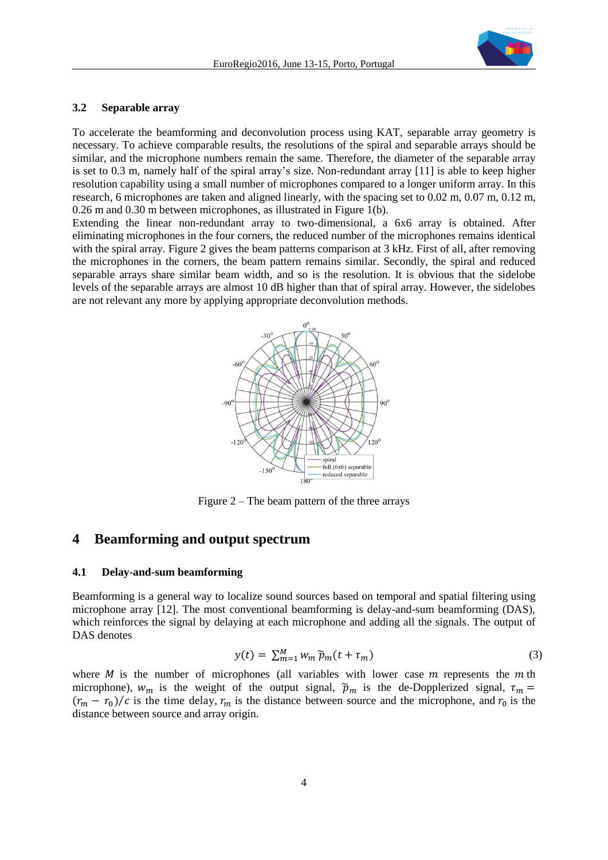

#### **3.2 Separable array**

To accelerate the beamforming and deconvolution process using KAT, separable array geometry is necessary. To achieve comparable results, the resolutions of the spiral and separable arrays should be similar, and the microphone numbers remain the same. Therefore, the diameter of the separable array is set to 0.3 m, namely half of the spiral array's size. Non-redundant array [\[11\]](#page-7-10) is able to keep higher resolution capability using a small number of microphones compared to a longer uniform array. In this research, 6 microphones are taken and aligned linearly, with the spacing set to 0.02 m, 0.07 m, 0.12 m, 0.26 m and 0.30 m between microphones, as illustrated in [Figure 1\(](#page-2-1)b).

Extending the linear non-redundant array to two-dimensional, a 6x6 array is obtained. After eliminating microphones in the four corners, the reduced number of the microphones remains identical with the spiral array. [Figure 2](#page-3-0) gives the beam patterns comparison at 3 kHz. First of all, after removing the microphones in the corners, the beam pattern remains similar. Secondly, the spiral and reduced separable arrays share similar beam width, and so is the resolution. It is obvious that the sidelobe levels of the separable arrays are almost 10 dB higher than that of spiral array. However, the sidelobes are not relevant any more by applying appropriate deconvolution methods.



Figure  $2 -$ The beam pattern of the three arrays

#### <span id="page-3-0"></span>**4 Beamforming and output spectrum**

#### **4.1 Delay-and-sum beamforming**

Beamforming is a general way to localize sound sources based on temporal and spatial filtering using microphone array [\[12\].](#page-7-11) The most conventional beamforming is delay-and-sum beamforming (DAS), which reinforces the signal by delaying at each microphone and adding all the signals. The output of DAS denotes

$$
y(t) = \sum_{m=1}^{M} w_m \widetilde{p}_m(t + \tau_m)
$$
\n(3)

where  $M$  is the number of microphones (all variables with lower case  $m$  represents the  $m$  th microphone),  $w_m$  is the weight of the output signal,  $\tilde{p}_m$  is the de-Dopplerized signal,  $\tau_m$  =  $(r_m - r_0)/c$  is the time delay,  $r_m$  is the distance between source and the microphone, and  $r_0$  is the distance between source and array origin.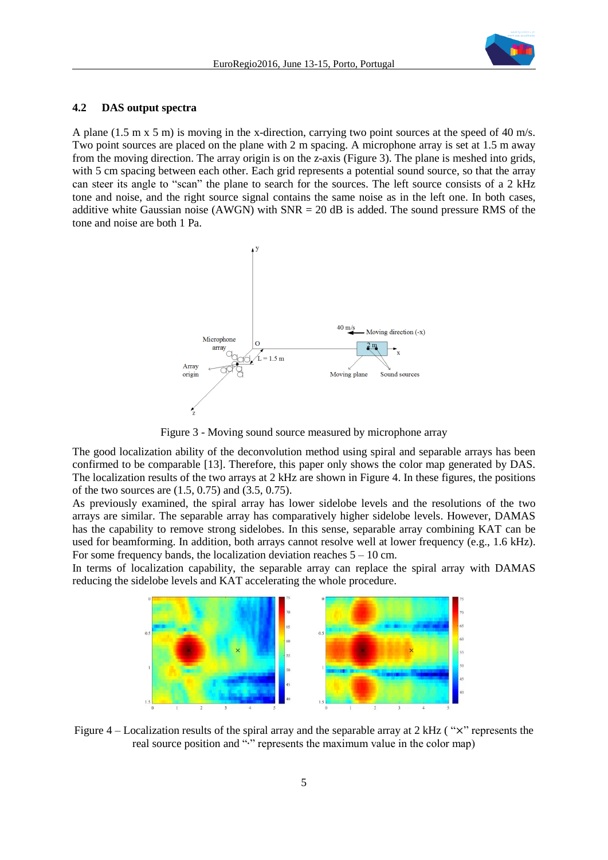

#### **4.2 DAS output spectra**

A plane (1.5 m x 5 m) is moving in the x-direction, carrying two point sources at the speed of 40 m/s. Two point sources are placed on the plane with 2 m spacing. A microphone array is set at 1.5 m away from the moving direction. The array origin is on the z-axis [\(Figure 3\)](#page-4-0). The plane is meshed into grids, with 5 cm spacing between each other. Each grid represents a potential sound source, so that the array can steer its angle to "scan" the plane to search for the sources. The left source consists of a 2 kHz tone and noise, and the right source signal contains the same noise as in the left one. In both cases, additive white Gaussian noise (AWGN) with  $SNR = 20$  dB is added. The sound pressure RMS of the tone and noise are both 1 Pa.



Figure 3 - Moving sound source measured by microphone array

<span id="page-4-0"></span>The good localization ability of the deconvolution method using spiral and separable arrays has been confirmed to be comparable [\[13\].](#page-7-12) Therefore, this paper only shows the color map generated by DAS. The localization results of the two arrays at 2 kHz are shown in [Figure 4.](#page-4-1) In these figures, the positions of the two sources are (1.5, 0.75) and (3.5, 0.75).

As previously examined, the spiral array has lower sidelobe levels and the resolutions of the two arrays are similar. The separable array has comparatively higher sidelobe levels. However, DAMAS has the capability to remove strong sidelobes. In this sense, separable array combining KAT can be used for beamforming. In addition, both arrays cannot resolve well at lower frequency (e.g., 1.6 kHz). For some frequency bands, the localization deviation reaches  $5 - 10$  cm.

In terms of localization capability, the separable array can replace the spiral array with DAMAS reducing the sidelobe levels and KAT accelerating the whole procedure.



<span id="page-4-1"></span>Figure 4 – Localization results of the spiral array and the separable array at 2 kHz (" $\times$ " represents the real source position and "∙" represents the maximum value in the color map)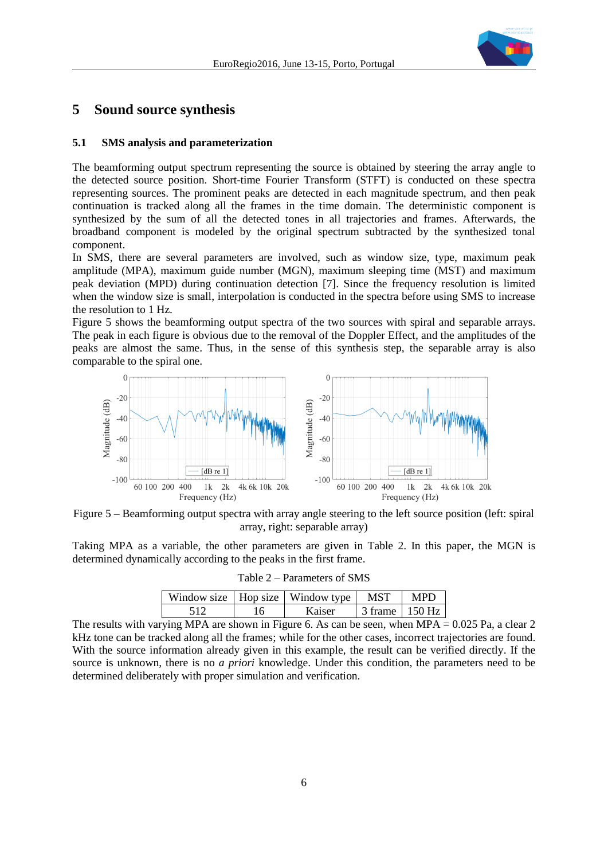

### **5 Sound source synthesis**

#### **5.1 SMS analysis and parameterization**

The beamforming output spectrum representing the source is obtained by steering the array angle to the detected source position. Short-time Fourier Transform (STFT) is conducted on these spectra representing sources. The prominent peaks are detected in each magnitude spectrum, and then peak continuation is tracked along all the frames in the time domain. The deterministic component is synthesized by the sum of all the detected tones in all trajectories and frames. Afterwards, the broadband component is modeled by the original spectrum subtracted by the synthesized tonal component.

In SMS, there are several parameters are involved, such as window size, type, maximum peak amplitude (MPA), maximum guide number (MGN), maximum sleeping time (MST) and maximum peak deviation (MPD) during continuation detection [\[7\].](#page-7-6) Since the frequency resolution is limited when the window size is small, interpolation is conducted in the spectra before using SMS to increase the resolution to 1 Hz.

[Figure 5](#page-5-0) shows the beamforming output spectra of the two sources with spiral and separable arrays. The peak in each figure is obvious due to the removal of the Doppler Effect, and the amplitudes of the peaks are almost the same. Thus, in the sense of this synthesis step, the separable array is also comparable to the spiral one.



<span id="page-5-0"></span>Figure 5 – Beamforming output spectra with array angle steering to the left source position (left: spiral array, right: separable array)

<span id="page-5-1"></span>Taking MPA as a variable, the other parameters are given in [Table 2.](#page-5-1) In this paper, the MGN is determined dynamically according to the peaks in the first frame.

| Table 2 – Parameters of SMS |  |  |
|-----------------------------|--|--|
|-----------------------------|--|--|

|    | Window size   Hop size   Window type | MST              | MPD |
|----|--------------------------------------|------------------|-----|
| .6 | Kaiser                               | 3 frame 1 150 Hz |     |

The results with varying MPA are shown in [Figure 6.](#page-6-0) As can be seen, when MPA =  $0.025$  Pa, a clear 2 kHz tone can be tracked along all the frames; while for the other cases, incorrect trajectories are found. With the source information already given in this example, the result can be verified directly. If the source is unknown, there is no *a priori* knowledge. Under this condition, the parameters need to be determined deliberately with proper simulation and verification.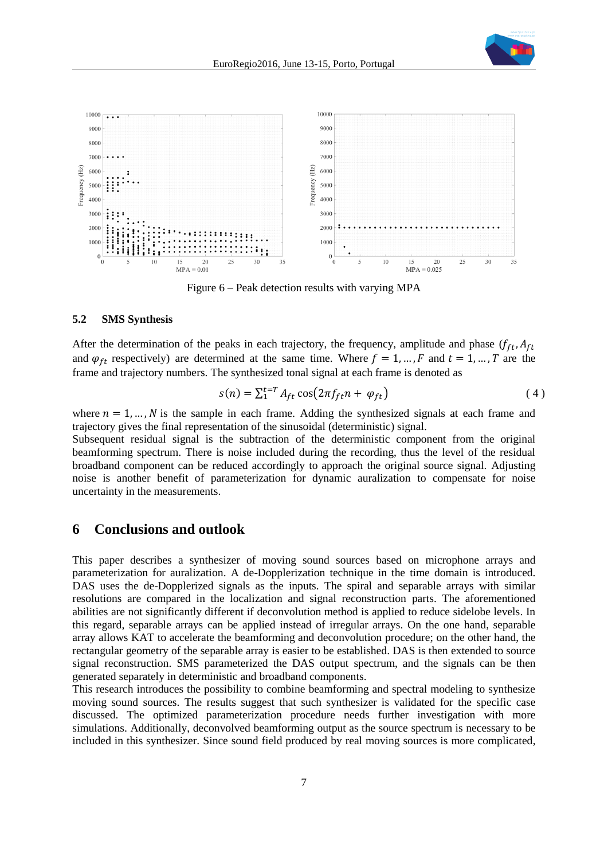



Figure 6 – Peak detection results with varying MPA

#### <span id="page-6-0"></span>**5.2 SMS Synthesis**

After the determination of the peaks in each trajectory, the frequency, amplitude and phase  $(f_{ft}, A_{ft})$ and  $\varphi_{ft}$  respectively) are determined at the same time. Where  $f = 1, ..., F$  and  $t = 1, ..., T$  are the frame and trajectory numbers. The synthesized tonal signal at each frame is denoted as

$$
s(n) = \sum_{1}^{t=T} A_{ft} \cos(2\pi f_{ft} n + \varphi_{ft})
$$
\n(4)

where  $n = 1, ..., N$  is the sample in each frame. Adding the synthesized signals at each frame and trajectory gives the final representation of the sinusoidal (deterministic) signal.

Subsequent residual signal is the subtraction of the deterministic component from the original beamforming spectrum. There is noise included during the recording, thus the level of the residual broadband component can be reduced accordingly to approach the original source signal. Adjusting noise is another benefit of parameterization for dynamic auralization to compensate for noise uncertainty in the measurements.

### **6 Conclusions and outlook**

This paper describes a synthesizer of moving sound sources based on microphone arrays and parameterization for auralization. A de-Dopplerization technique in the time domain is introduced. DAS uses the de-Dopplerized signals as the inputs. The spiral and separable arrays with similar resolutions are compared in the localization and signal reconstruction parts. The aforementioned abilities are not significantly different if deconvolution method is applied to reduce sidelobe levels. In this regard, separable arrays can be applied instead of irregular arrays. On the one hand, separable array allows KAT to accelerate the beamforming and deconvolution procedure; on the other hand, the rectangular geometry of the separable array is easier to be established. DAS is then extended to source signal reconstruction. SMS parameterized the DAS output spectrum, and the signals can be then generated separately in deterministic and broadband components.

This research introduces the possibility to combine beamforming and spectral modeling to synthesize moving sound sources. The results suggest that such synthesizer is validated for the specific case discussed. The optimized parameterization procedure needs further investigation with more simulations. Additionally, deconvolved beamforming output as the source spectrum is necessary to be included in this synthesizer. Since sound field produced by real moving sources is more complicated,